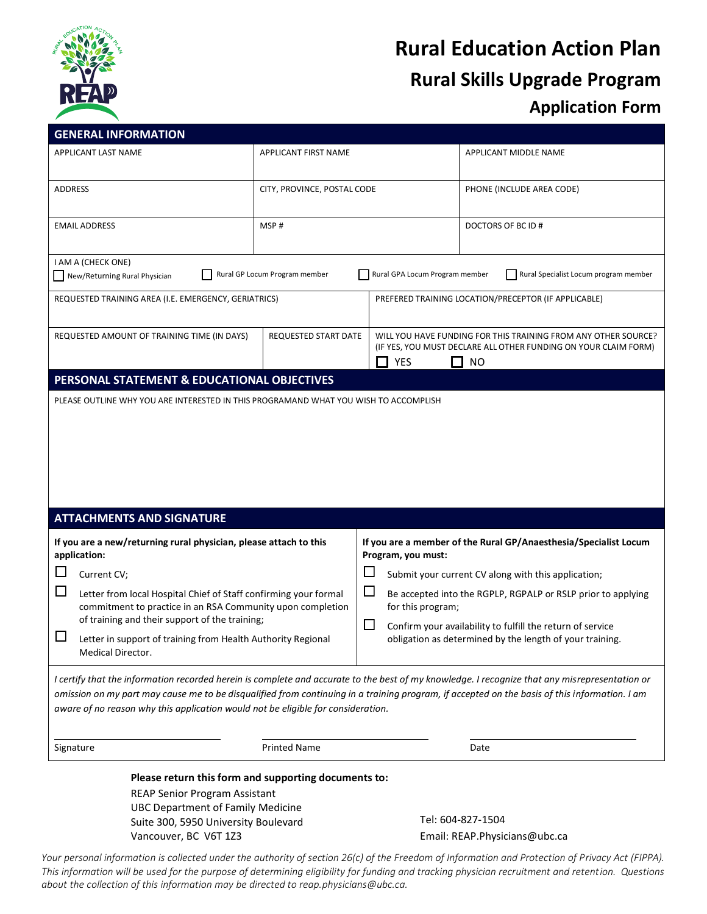

# **Rural Education Action Plan Rural Skills Upgrade Program Application Form**

|                                                                                                                                                                 | <b>GENERAL INFORMATION</b>                                                                                                          |                             |                                                                                                                                                       |                                                                                                                                                                                                                                                                                                 |  |
|-----------------------------------------------------------------------------------------------------------------------------------------------------------------|-------------------------------------------------------------------------------------------------------------------------------------|-----------------------------|-------------------------------------------------------------------------------------------------------------------------------------------------------|-------------------------------------------------------------------------------------------------------------------------------------------------------------------------------------------------------------------------------------------------------------------------------------------------|--|
|                                                                                                                                                                 | APPLICANT LAST NAME                                                                                                                 | APPLICANT FIRST NAME        |                                                                                                                                                       | APPLICANT MIDDLE NAME                                                                                                                                                                                                                                                                           |  |
| ADDRESS                                                                                                                                                         |                                                                                                                                     | CITY, PROVINCE, POSTAL CODE |                                                                                                                                                       | PHONE (INCLUDE AREA CODE)                                                                                                                                                                                                                                                                       |  |
| <b>EMAIL ADDRESS</b>                                                                                                                                            |                                                                                                                                     | MSP#                        |                                                                                                                                                       | DOCTORS OF BC ID #                                                                                                                                                                                                                                                                              |  |
| I AM A (CHECK ONE)<br>Rural GP Locum Program member<br>Rural GPA Locum Program member<br>Rural Specialist Locum program member<br>New/Returning Rural Physician |                                                                                                                                     |                             |                                                                                                                                                       |                                                                                                                                                                                                                                                                                                 |  |
| REQUESTED TRAINING AREA (I.E. EMERGENCY, GERIATRICS)                                                                                                            |                                                                                                                                     |                             | PREFERED TRAINING LOCATION/PRECEPTOR (IF APPLICABLE)                                                                                                  |                                                                                                                                                                                                                                                                                                 |  |
| REQUESTED AMOUNT OF TRAINING TIME (IN DAYS)                                                                                                                     |                                                                                                                                     | <b>REQUESTED START DATE</b> | WILL YOU HAVE FUNDING FOR THIS TRAINING FROM ANY OTHER SOURCE?<br>(IF YES, YOU MUST DECLARE ALL OTHER FUNDING ON YOUR CLAIM FORM)<br>YES<br>- 1<br>NO |                                                                                                                                                                                                                                                                                                 |  |
|                                                                                                                                                                 | PERSONAL STATEMENT & EDUCATIONAL OBJECTIVES                                                                                         |                             |                                                                                                                                                       |                                                                                                                                                                                                                                                                                                 |  |
|                                                                                                                                                                 |                                                                                                                                     |                             |                                                                                                                                                       |                                                                                                                                                                                                                                                                                                 |  |
|                                                                                                                                                                 |                                                                                                                                     |                             |                                                                                                                                                       |                                                                                                                                                                                                                                                                                                 |  |
|                                                                                                                                                                 | <b>ATTACHMENTS AND SIGNATURE</b>                                                                                                    |                             |                                                                                                                                                       |                                                                                                                                                                                                                                                                                                 |  |
|                                                                                                                                                                 | If you are a new/returning rural physician, please attach to this<br>application:                                                   |                             | Program, you must:                                                                                                                                    | If you are a member of the Rural GP/Anaesthesia/Specialist Locum                                                                                                                                                                                                                                |  |
|                                                                                                                                                                 | Current CV;                                                                                                                         |                             | $\Box$                                                                                                                                                | Submit your current CV along with this application;                                                                                                                                                                                                                                             |  |
| $\Box$                                                                                                                                                          | Letter from local Hospital Chief of Staff confirming your formal<br>commitment to practice in an RSA Community upon completion      |                             | $\Box$<br>for this program;                                                                                                                           | Be accepted into the RGPLP, RGPALP or RSLP prior to applying                                                                                                                                                                                                                                    |  |
| ப                                                                                                                                                               | of training and their support of the training;<br>Letter in support of training from Health Authority Regional<br>Medical Director. |                             | $\Box$                                                                                                                                                | Confirm your availability to fulfill the return of service<br>obligation as determined by the length of your training.                                                                                                                                                                          |  |
|                                                                                                                                                                 | aware of no reason why this application would not be eligible for consideration.                                                    |                             |                                                                                                                                                       | I certify that the information recorded herein is complete and accurate to the best of my knowledge. I recognize that any misrepresentation or<br>omission on my part may cause me to be disqualified from continuing in a training program, if accepted on the basis of this information. I am |  |
|                                                                                                                                                                 | Signature                                                                                                                           | <b>Printed Name</b>         |                                                                                                                                                       | Date                                                                                                                                                                                                                                                                                            |  |

*Your personal information is collected under the authority of section 26(c) of the Freedom of Information and Protection of Privacy Act (FIPPA). This information will be used for the purpose of determining eligibility for funding and tracking physician recruitment and retention. Questions about the collection of this information may be directed to reap.physicians@ubc.ca.*